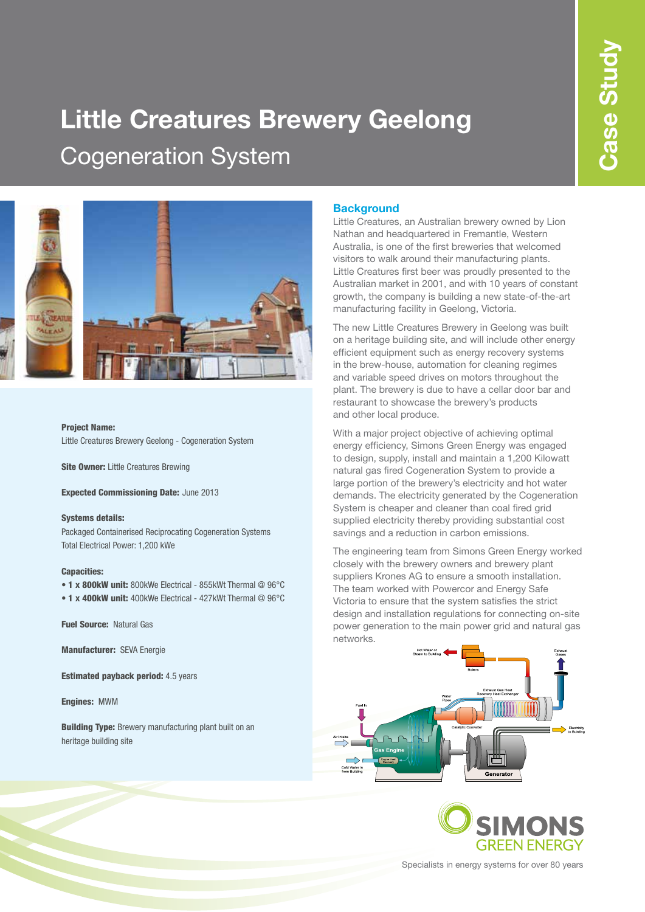# **Little Creatures Brewery Geelong** Cogeneration System



#### Project Name:

Little Creatures Brewery Geelong - Cogeneration System

**Site Owner: Little Creatures Brewing** 

Expected Commissioning Date: June 2013

#### Systems details:

Packaged Containerised Reciprocating Cogeneration Systems Total Electrical Power: 1,200 kWe

#### Capacities:

- 1 x 800kW unit: 800kWe Electrical 855kWt Thermal @ 96°C
- 1 x 400kW unit: 400kWe Electrical 427kWt Thermal @ 96°C

Fuel Source: Natural Gas

Manufacturer: SEVA Energie

Estimated payback period: 4.5 years

Engines: MWM

**Building Type:** Brewery manufacturing plant built on an heritage building site

#### **Background**

Little Creatures, an Australian brewery owned by Lion Nathan and headquartered in Fremantle, Western Australia, is one of the first breweries that welcomed visitors to walk around their manufacturing plants. Little Creatures first beer was proudly presented to the Australian market in 2001, and with 10 years of constant growth, the company is building a new state-of-the-art manufacturing facility in Geelong, Victoria.

The new Little Creatures Brewery in Geelong was built on a heritage building site, and will include other energy efficient equipment such as energy recovery systems in the brew-house, automation for cleaning regimes and variable speed drives on motors throughout the plant. The brewery is due to have a cellar door bar and restaurant to showcase the brewery's products and other local produce.

With a major project objective of achieving optimal energy efficiency, Simons Green Energy was engaged to design, supply, install and maintain a 1,200 Kilowatt natural gas fired Cogeneration System to provide a large portion of the brewery's electricity and hot water demands. The electricity generated by the Cogeneration System is cheaper and cleaner than coal fired grid supplied electricity thereby providing substantial cost savings and a reduction in carbon emissions.

The engineering team from Simons Green Energy worked closely with the brewery owners and brewery plant suppliers Krones AG to ensure a smooth installation. The team worked with Powercor and Energy Safe Victoria to ensure that the system satisfies the strict design and installation regulations for connecting on-site power generation to the main power grid and natural gas networks.





Specialists in energy systems for over 80 years